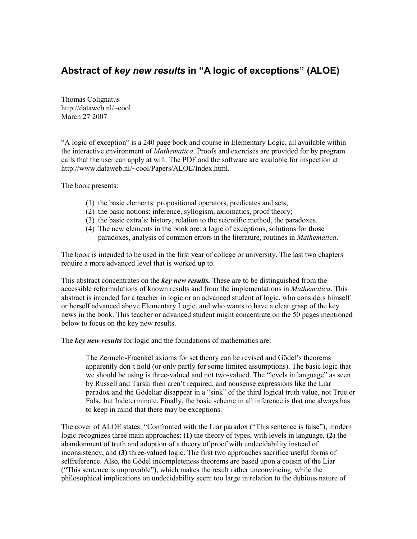## Abstract of key new results in "A logic of exceptions" (ALOE)

Thomas Colignatus http://dataweb.nl/~cool March 27 2007

"A logic of exception" is a 240 page book and course in Elementary Logic, all available within the interactive environment of *Mathematica*. Proofs and exercises are provided for by program calls that the user can apply at will. The PDF and the software are available for inspection at http://www.dataweb.nl/~cool/Papers/ALOE/Index.html.

The book presents:

- (1) the basic elements: propositional operators, predicates and sets;
- (2) the basic notions: inference, syllogism, axiomatics, proof theory;
- (3) the basic extra's: history, relation to the scientific method, the paradoxes.
- (4) The new elements in the book are: a logic of exceptions, solutions for those paradoxes, analysis of common errors in the literature, routines in Mathematica.

The book is intended to be used in the first year of college or university. The last two chapters require a more advanced level that is worked up to.

This abstract concentrates on the key new results. These are to be distinguished from the accessible reformulations of known results and from the implementations in *Mathematica*. This abstract is intended for a teacher in logic or an advanced student of logic, who considers himself or herself advanced above Elementary Logic, and who wants to have a clear grasp of the key news in the book. This teacher or advanced student might concentrate on the 50 pages mentioned below to focus on the key new results.

The key new results for logic and the foundations of mathematics are:

The Zermelo-Fraenkel axioms for set theory can be revised and Gödel's theorems apparently don't hold (or only partly for some limited assumptions). The basic logic that we should be using is three-valued and not two-valued. The "levels in language" as seen by Russell and Tarski then aren't required, and nonsense expressions like the Liar paradox and the Gödeliar disappear in a "sink" of the third logical truth value, not True or False but Indeterminate. Finally, the basic scheme in all inference is that one always has to keep in mind that there may be exceptions.

The cover of ALOE states: "Confronted with the Liar paradox ("This sentence is false"), modern logic recognizes three main approaches: (1) the theory of types, with levels in language, (2) the abandonment of truth and adoption of a theory of proof with undecidability instead of inconsistency, and (3) three-valued logic. The first two approaches sacrifice useful forms of selfreference. Also, the Gödel incompleteness theorems are based upon a cousin of the Liar ("This sentence is unprovable"), which makes the result rather unconvincing, while the philosophical implications on undecidability seem too large in relation to the dubious nature of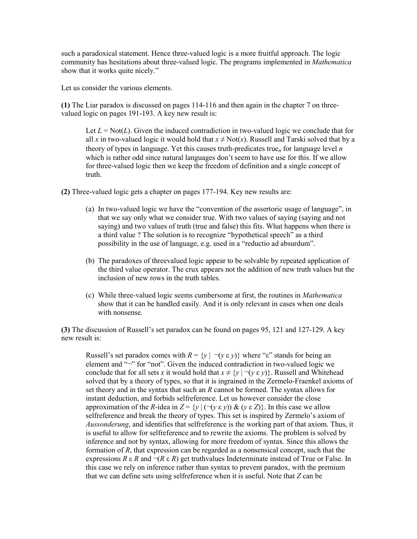such a paradoxical statement. Hence three-valued logic is a more fruitful approach. The logic community has hesitations about three-valued logic. The programs implemented in *Mathematica* show that it works quite nicely."

Let us consider the various elements.

(1) The Liar paradox is discussed on pages 114-116 and then again in the chapter 7 on threevalued logic on pages 191-193. A key new result is:

Let  $L = Not(L)$ . Given the induced contradiction in two-valued logic we conclude that for all x in two-valued logic it would hold that  $x \neq Not(x)$ . Russell and Tarski solved that by a theory of types in language. Yet this causes truth-predicates true<sub>n</sub> for language level  $n$ which is rather odd since natural languages don't seem to have use for this. If we allow for three-valued logic then we keep the freedom of definition and a single concept of truth.

(2) Three-valued logic gets a chapter on pages 177-194. Key new results are:

- (a) In two-valued logic we have the "convention of the assertoric usage of language", in that we say only what we consider true. With two values of saying (saying and not saying) and two values of truth (true and false) this fits. What happens when there is a third value ? The solution is to recognize "hypothetical speech" as a third possibility in the use of language, e.g. used in a "reductio ad absurdum".
- (b) The paradoxes of threevalued logic appear to be solvable by repeated application of the third value operator. The crux appears not the addition of new truth values but the inclusion of new rows in the truth tables.
- (c) While three-valued logic seems cumbersome at first, the routines in Mathematica show that it can be handled easily. And it is only relevant in cases when one deals with nonsense.

(3) The discussion of Russell's set paradox can be found on pages 95, 121 and 127-129. A key new result is:

Russell's set paradox comes with  $R = \{y \mid \neg (y \varepsilon y)\}\$  where "ε" stands for being an element and "¬" for "not". Given the induced contradiction in two-valued logic we conclude that for all sets x it would hold that  $x \neq \{y \mid \neg (y \varepsilon y)\}\)$ . Russell and Whitehead solved that by a theory of types, so that it is ingrained in the Zermelo-Fraenkel axioms of set theory and in the syntax that such an R cannot be formed. The syntax allows for instant deduction, and forbids selfreference. Let us however consider the close approximation of the R-idea in  $Z = \{y \mid (\neg(y \varepsilon y)) \& (y \varepsilon Z) \}$ . In this case we allow selfreference and break the theory of types. This set is inspired by Zermelo's axiom of Aussonderung, and identifies that selfreference is the working part of that axiom. Thus, it is useful to allow for selfreference and to rewrite the axioms. The problem is solved by inference and not by syntax, allowing for more freedom of syntax. Since this allows the formation of R, that expression can be regarded as a nonsensical concept, such that the expressions  $R \in \mathbb{R}$  and  $\neg (R \in \mathbb{R})$  get truthvalues Indeterminate instead of True or False. In this case we rely on inference rather than syntax to prevent paradox, with the premium that we can define sets using selfreference when it is useful. Note that Z can be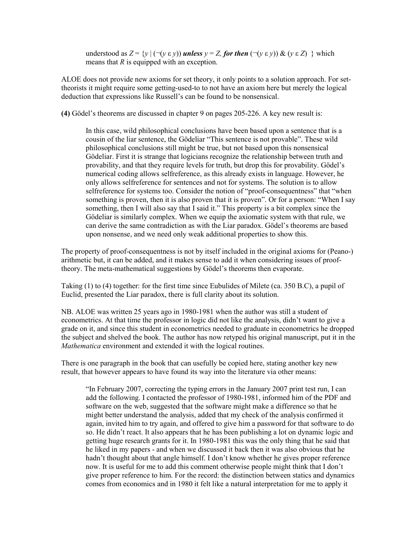understood as  $Z = \{y \mid (\neg (y \varepsilon y))$  unless  $y = Z$ , for then  $(\neg (y \varepsilon y)) \& (y \varepsilon Z) \}$  which means that R is equipped with an exception.

ALOE does not provide new axioms for set theory, it only points to a solution approach. For settheorists it might require some getting-used-to to not have an axiom here but merely the logical deduction that expressions like Russell's can be found to be nonsensical.

(4) Gödel's theorems are discussed in chapter 9 on pages 205-226. A key new result is:

In this case, wild philosophical conclusions have been based upon a sentence that is a cousin of the liar sentence, the Gödeliar "This sentence is not provable". These wild philosophical conclusions still might be true, but not based upon this nonsensical Gödeliar. First it is strange that logicians recognize the relationship between truth and provability, and that they require levels for truth, but drop this for provability. Gödel's numerical coding allows selfreference, as this already exists in language. However, he only allows selfreference for sentences and not for systems. The solution is to allow selfreference for systems too. Consider the notion of "proof-consequentness" that "when something is proven, then it is also proven that it is proven". Or for a person: "When I say something, then I will also say that I said it." This property is a bit complex since the Gödeliar is similarly complex. When we equip the axiomatic system with that rule, we can derive the same contradiction as with the Liar paradox. Gödel's theorems are based upon nonsense, and we need only weak additional properties to show this.

The property of proof-consequentness is not by itself included in the original axioms for (Peano-) arithmetic but, it can be added, and it makes sense to add it when considering issues of prooftheory. The meta-mathematical suggestions by Gödel's theorems then evaporate.

Taking (1) to (4) together: for the first time since Eubulides of Milete (ca. 350 B.C), a pupil of Euclid, presented the Liar paradox, there is full clarity about its solution.

NB. ALOE was written 25 years ago in 1980-1981 when the author was still a student of econometrics. At that time the professor in logic did not like the analysis, didn't want to give a grade on it, and since this student in econometrics needed to graduate in econometrics he dropped the subject and shelved the book. The author has now retyped his original manuscript, put it in the Mathematica environment and extended it with the logical routines.

There is one paragraph in the book that can usefully be copied here, stating another key new result, that however appears to have found its way into the literature via other means:

"In February 2007, correcting the typing errors in the January 2007 print test run, I can add the following. I contacted the professor of 1980-1981, informed him of the PDF and software on the web, suggested that the software might make a difference so that he might better understand the analysis, added that my check of the analysis confirmed it again, invited him to try again, and offered to give him a password for that software to do so. He didn't react. It also appears that he has been publishing a lot on dynamic logic and getting huge research grants for it. In 1980-1981 this was the only thing that he said that he liked in my papers - and when we discussed it back then it was also obvious that he hadn't thought about that angle himself. I don't know whether he gives proper reference now. It is useful for me to add this comment otherwise people might think that I don't give proper reference to him. For the record: the distinction between statics and dynamics comes from economics and in 1980 it felt like a natural interpretation for me to apply it